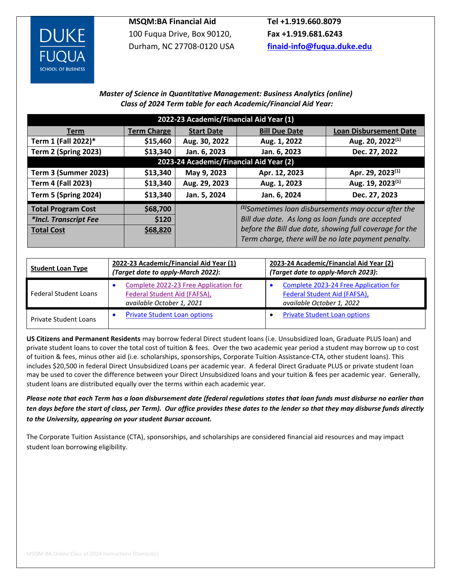

**MSQM:BA Financial Aid**  100 Fuqua Drive, Box 90120, Durham, NC 27708-0120 USA

**Tel +1.919.660.8079 Fax +1.919.681.6243 [finaid-info@fuqua.duke.edu](mailto:finaid-info@fuqua.duke.edu)**

## *Master of Science in Quantitative Management: Business Analytics (online) Class of 2024 Term table for each Academic/Financial Aid Year:*

| 2022-23 Academic/Financial Aid Year (1) |                    |                   |                                                                                                                |                               |  |  |  |  |  |
|-----------------------------------------|--------------------|-------------------|----------------------------------------------------------------------------------------------------------------|-------------------------------|--|--|--|--|--|
| <b>Term</b>                             | <b>Term Charge</b> | <b>Start Date</b> | <b>Bill Due Date</b>                                                                                           | <b>Loan Disbursement Date</b> |  |  |  |  |  |
| Term 1 (Fall 2022)*                     | \$15,460           | Aug. 30, 2022     | Aug. 1, 2022                                                                                                   | Aug. 20, 2022 <sup>(1)</sup>  |  |  |  |  |  |
| Term 2 (Spring 2023)                    | \$13,340           | Jan. 6, 2023      | Jan. 6, 2023                                                                                                   | Dec. 27, 2022                 |  |  |  |  |  |
| 2023-24 Academic/Financial Aid Year (2) |                    |                   |                                                                                                                |                               |  |  |  |  |  |
| Term 3 (Summer 2023)                    | \$13,340           | May 9, 2023       | Apr. 12, 2023                                                                                                  | Apr. 29, 2023 <sup>(1)</sup>  |  |  |  |  |  |
| <b>Term 4 (Fall 2023)</b>               | \$13,340           | Aug. 29, 2023     | Aug. 1, 2023                                                                                                   | Aug. 19, 2023 <sup>(1)</sup>  |  |  |  |  |  |
| <b>Term 5 (Spring 2024)</b>             | \$13,340           | Jan. 5, 2024      | Jan. 6, 2024                                                                                                   | Dec. 27, 2023                 |  |  |  |  |  |
| <b>Total Program Cost</b>               | \$68,700           |                   | $(1)$ Sometimes loan disbursements may occur after the                                                         |                               |  |  |  |  |  |
| *Incl. Transcript Fee                   | <b>S120</b>        |                   | Bill due date. As long as loan funds are accepted                                                              |                               |  |  |  |  |  |
| <b>Total Cost</b>                       | \$68,820           |                   | before the Bill due date, showing full coverage for the<br>Term charge, there will be no late payment penalty. |                               |  |  |  |  |  |
|                                         |                    |                   |                                                                                                                |                               |  |  |  |  |  |

| <b>Student Loan Type</b>     | 2022-23 Academic/Financial Aid Year (1)<br>(Target date to apply-March 2022):                      | 2023-24 Academic/Financial Aid Year (2)<br>(Target date to apply-March 2023):                      |  |  |  |
|------------------------------|----------------------------------------------------------------------------------------------------|----------------------------------------------------------------------------------------------------|--|--|--|
| <b>Federal Student Loans</b> | Complete 2022-23 Free Application for<br>Federal Student Aid (FAFSA),<br>available October 1, 2021 | Complete 2023-24 Free Application for<br>Federal Student Aid (FAFSA),<br>available October 1, 2022 |  |  |  |
| Private Student Loans        | <b>Private Student Loan options</b>                                                                | <b>Private Student Loan options</b>                                                                |  |  |  |

**US Citizens and Permanent Residents** may borrow federal Direct student loans (i.e. Unsubsidized loan, Graduate PLUS loan) and private student loans to cover the total cost of tuition & fees. Over the two academic year period a student may borrow up to cost of tuition & fees, minus other aid (i.e. scholarships, sponsorships, Corporate Tuition Assistance-CTA, other student loans). This includes \$20,500 in federal Direct Unsubsidized Loans per academic year. A federal Direct Graduate PLUS or private student loan may be used to cover the difference between your Direct Unsubsidized loans and your tuition & fees per academic year. Generally, student loans are distributed equally over the terms within each academic year.

*Please note that each Term has a loan disbursement date (federal regulations states that loan funds must disburse no earlier than ten days before the start of class, per Term). Our office provides these dates to the lender so that they may disburse funds directly to the University, appearing on your student Bursar account.*

The Corporate Tuition Assistance (CTA), sponsorships, and scholarships are considered financial aid resources and may impact student loan borrowing eligibility.